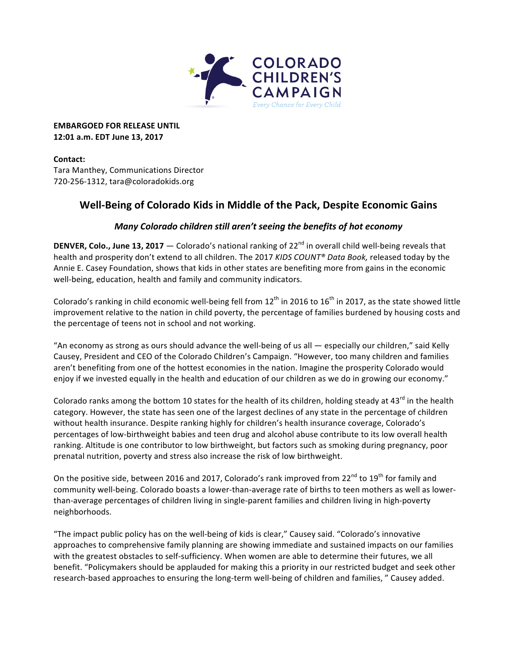

**EMBARGOED FOR RELEASE UNTIL 12:01 a.m. EDT June 13, 2017**

# **Contact:**

Tara Manthey, Communications Director 720-256-1312, tara@coloradokids.org

# **Well-Being of Colorado Kids in Middle of the Pack, Despite Economic Gains**

# *Many Colorado children still aren't seeing the benefits of hot economy*

**DENVER, Colo., June 13, 2017** — Colorado's national ranking of  $22^{nd}$  in overall child well-being reveals that health and prosperity don't extend to all children. The 2017 *KIDS COUNT® Data Book,* released today by the Annie E. Casey Foundation, shows that kids in other states are benefiting more from gains in the economic well-being, education, health and family and community indicators.

Colorado's ranking in child economic well-being fell from  $12<sup>th</sup>$  in 2016 to 16<sup>th</sup> in 2017, as the state showed little improvement relative to the nation in child poverty, the percentage of families burdened by housing costs and the percentage of teens not in school and not working.

"An economy as strong as ours should advance the well-being of us all  $-$  especially our children," said Kelly Causey, President and CEO of the Colorado Children's Campaign. "However, too many children and families aren't benefiting from one of the hottest economies in the nation. Imagine the prosperity Colorado would enjoy if we invested equally in the health and education of our children as we do in growing our economy."

Colorado ranks among the bottom 10 states for the health of its children, holding steady at 43<sup>rd</sup> in the health category. However, the state has seen one of the largest declines of any state in the percentage of children without health insurance. Despite ranking highly for children's health insurance coverage, Colorado's percentages of low-birthweight babies and teen drug and alcohol abuse contribute to its low overall health ranking. Altitude is one contributor to low birthweight, but factors such as smoking during pregnancy, poor prenatal nutrition, poverty and stress also increase the risk of low birthweight.

On the positive side, between 2016 and 2017, Colorado's rank improved from 22<sup>nd</sup> to 19<sup>th</sup> for family and community well-being. Colorado boasts a lower-than-average rate of births to teen mothers as well as lowerthan-average percentages of children living in single-parent families and children living in high-poverty neighborhoods.

"The impact public policy has on the well-being of kids is clear," Causey said. "Colorado's innovative approaches to comprehensive family planning are showing immediate and sustained impacts on our families with the greatest obstacles to self-sufficiency. When women are able to determine their futures, we all benefit. "Policymakers should be applauded for making this a priority in our restricted budget and seek other research-based approaches to ensuring the long-term well-being of children and families, " Causey added.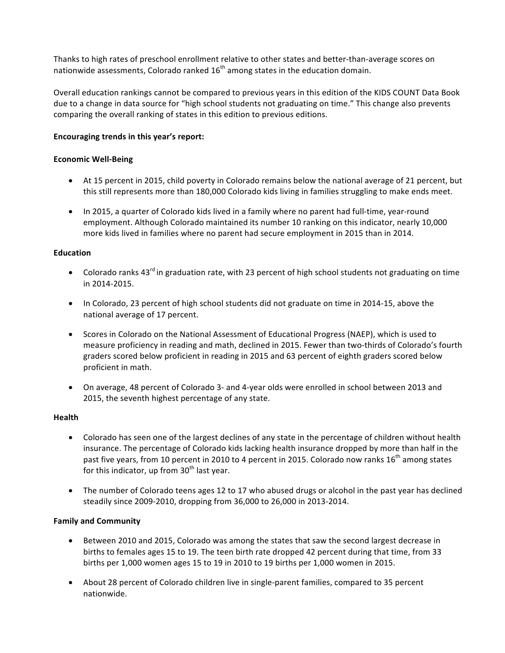Thanks to high rates of preschool enrollment relative to other states and better-than-average scores on nationwide assessments, Colorado ranked  $16<sup>th</sup>$  among states in the education domain.

Overall education rankings cannot be compared to previous years in this edition of the KIDS COUNT Data Book due to a change in data source for "high school students not graduating on time." This change also prevents comparing the overall ranking of states in this edition to previous editions.

# **Encouraging trends in this year's report:**

# **Economic Well-Being**

- At 15 percent in 2015, child poverty in Colorado remains below the national average of 21 percent, but this still represents more than 180,000 Colorado kids living in families struggling to make ends meet.
- In 2015, a quarter of Colorado kids lived in a family where no parent had full-time, year-round employment. Although Colorado maintained its number 10 ranking on this indicator, nearly 10,000 more kids lived in families where no parent had secure employment in 2015 than in 2014.

#### **Education**

- Colorado ranks  $43^{\text{rd}}$  in graduation rate, with 23 percent of high school students not graduating on time in 2014-2015.
- In Colorado, 23 percent of high school students did not graduate on time in 2014-15, above the national average of 17 percent.
- Scores in Colorado on the National Assessment of Educational Progress (NAEP), which is used to measure proficiency in reading and math, declined in 2015. Fewer than two-thirds of Colorado's fourth graders scored below proficient in reading in 2015 and 63 percent of eighth graders scored below proficient in math.
- On average, 48 percent of Colorado 3- and 4-year olds were enrolled in school between 2013 and 2015, the seventh highest percentage of any state.

# **Health**

- Colorado has seen one of the largest declines of any state in the percentage of children without health insurance. The percentage of Colorado kids lacking health insurance dropped by more than half in the past five years, from 10 percent in 2010 to 4 percent in 2015. Colorado now ranks 16<sup>th</sup> among states for this indicator, up from  $30<sup>th</sup>$  last year.
- The number of Colorado teens ages 12 to 17 who abused drugs or alcohol in the past year has declined steadily since 2009-2010, dropping from 36,000 to 26,000 in 2013-2014.

# **Family and Community**

- Between 2010 and 2015, Colorado was among the states that saw the second largest decrease in births to females ages 15 to 19. The teen birth rate dropped 42 percent during that time, from 33 births per  $1,000$  women ages  $15$  to  $19$  in 2010 to  $19$  births per  $1,000$  women in 2015.
- About 28 percent of Colorado children live in single-parent families, compared to 35 percent nationwide.